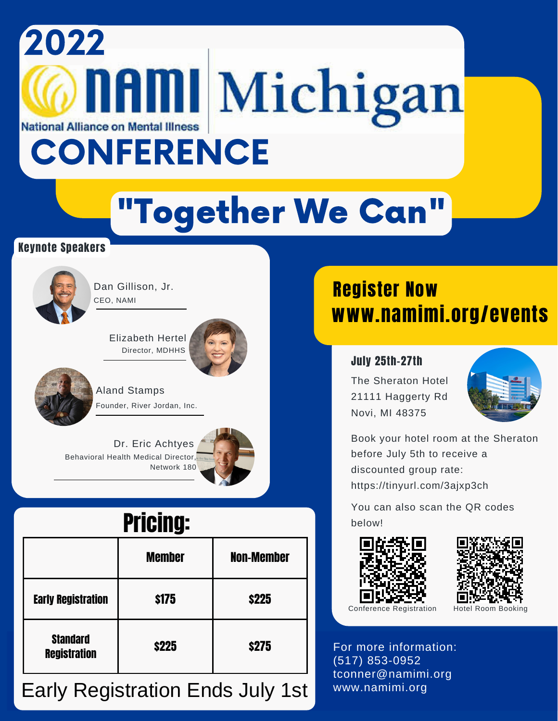# 2022 **naml** Michigan **National Alliance on Mental Illness CONFERENCE**

# "Together We Can"

#### Keynote Speakers



CEO, NAMI Dan Gillison, Jr.

> Director, MDHHS Elizabeth Hertel





Founder, River Jordan, Inc. Aland Stamps

Behavioral Health Medical Director, Network 180 Dr. Eric Achtyes

## Pricing:

|                                        | <b>Member</b> | <b>Non-Member</b> |
|----------------------------------------|---------------|-------------------|
| <b>Early Registration</b>              | \$175         | <b>\$225</b>      |
| <b>Standard</b><br><b>Registration</b> | \$225         | \$275             |

#### Early Registration Ends July 1st

### www.namimi.org/events Register Now

#### July 25th-27th

The Sheraton Hotel 21111 Haggerty Rd Novi, MI 48375



Book your hotel room at the Sheraton before July 5th to receive a discounted group rate: https://tinyurl.com/3ajxp3ch

You can also scan the QR codes below!





Conference Registration Hotel Room Booking

For more information: (517) 853-0952 tconner@namimi.org www.namimi.org